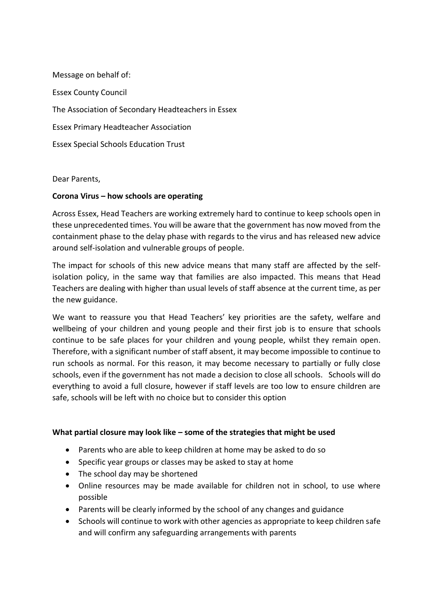Message on behalf of: Essex County Council The Association of Secondary Headteachers in Essex Essex Primary Headteacher Association Essex Special Schools Education Trust

Dear Parents,

### **Corona Virus – how schools are operating**

Across Essex, Head Teachers are working extremely hard to continue to keep schools open in these unprecedented times. You will be aware that the government has now moved from the containment phase to the delay phase with regards to the virus and has released new advice around self-isolation and vulnerable groups of people.

The impact for schools of this new advice means that many staff are affected by the selfisolation policy, in the same way that families are also impacted. This means that Head Teachers are dealing with higher than usual levels of staff absence at the current time, as per the new guidance.

We want to reassure you that Head Teachers' key priorities are the safety, welfare and wellbeing of your children and young people and their first job is to ensure that schools continue to be safe places for your children and young people, whilst they remain open. Therefore, with a significant number of staff absent, it may become impossible to continue to run schools as normal. For this reason, it may become necessary to partially or fully close schools, even if the government has not made a decision to close all schools. Schools will do everything to avoid a full closure, however if staff levels are too low to ensure children are safe, schools will be left with no choice but to consider this option

### **What partial closure may look like – some of the strategies that might be used**

- Parents who are able to keep children at home may be asked to do so
- Specific year groups or classes may be asked to stay at home
- The school day may be shortened
- Online resources may be made available for children not in school, to use where possible
- Parents will be clearly informed by the school of any changes and guidance
- Schools will continue to work with other agencies as appropriate to keep children safe and will confirm any safeguarding arrangements with parents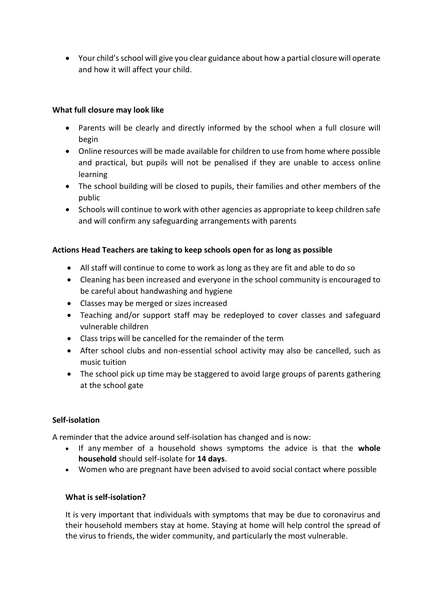• Your child's school will give you clear guidance about how a partial closure will operate and how it will affect your child.

# **What full closure may look like**

- Parents will be clearly and directly informed by the school when a full closure will begin
- Online resources will be made available for children to use from home where possible and practical, but pupils will not be penalised if they are unable to access online learning
- The school building will be closed to pupils, their families and other members of the public
- Schools will continue to work with other agencies as appropriate to keep children safe and will confirm any safeguarding arrangements with parents

# **Actions Head Teachers are taking to keep schools open for as long as possible**

- All staff will continue to come to work as long as they are fit and able to do so
- Cleaning has been increased and everyone in the school community is encouraged to be careful about handwashing and hygiene
- Classes may be merged or sizes increased
- Teaching and/or support staff may be redeployed to cover classes and safeguard vulnerable children
- Class trips will be cancelled for the remainder of the term
- After school clubs and non-essential school activity may also be cancelled, such as music tuition
- The school pick up time may be staggered to avoid large groups of parents gathering at the school gate

# **Self-isolation**

A reminder that the advice around self-isolation has changed and is now:

- If any member of a household shows symptoms the advice is that the **whole household** should self-isolate for **14 days**.
- Women who are pregnant have been advised to avoid social contact where possible

# **What is self-isolation?**

It is very important that individuals with symptoms that may be due to coronavirus and their household members stay at home. Staying at home will help control the spread of the virus to friends, the wider community, and particularly the most vulnerable.